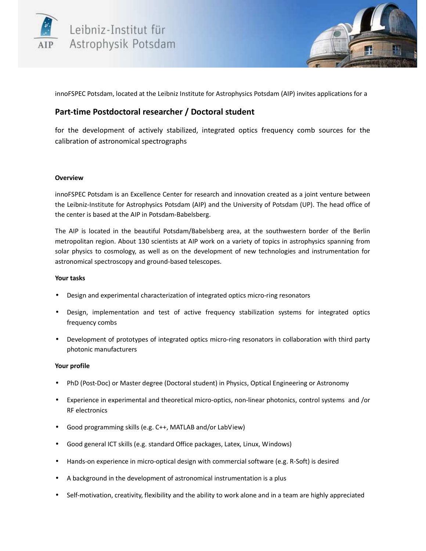



innoFSPEC Potsdam, located at the Leibniz Institute for Astrophysics Potsdam (AIP) invites applications for a

# **Part-time Postdoctoral researcher / Doctoral student**

for the development of actively stabilized, integrated optics frequency comb sources for the calibration of astronomical spectrographs

## **Overview**

innoFSPEC Potsdam is an Excellence Center for research and innovation created as a joint venture between the Leibniz-Institute for Astrophysics Potsdam (AIP) and the University of Potsdam (UP). The head office of the center is based at the AIP in Potsdam-Babelsberg.

The AIP is located in the beautiful Potsdam/Babelsberg area, at the southwestern border of the Berlin metropolitan region. About 130 scientists at AIP work on a variety of topics in astrophysics spanning from solar physics to cosmology, as well as on the development of new technologies and instrumentation for astronomical spectroscopy and ground-based telescopes.

## **Your tasks**

- Design and experimental characterization of integrated optics micro-ring resonators
- Design, implementation and test of active frequency stabilization systems for integrated optics frequency combs
- Development of prototypes of integrated optics micro-ring resonators in collaboration with third party photonic manufacturers

## **Your profile**

- PhD (Post-Doc) or Master degree (Doctoral student) in Physics, Optical Engineering or Astronomy
- Experience in experimental and theoretical micro-optics, non-linear photonics, control systems and /or RF electronics
- Good programming skills (e.g. C++, MATLAB and/or LabView)
- Good general ICT skills (e.g. standard Office packages, Latex, Linux, Windows)
- Hands-on experience in micro-optical design with commercial software (e.g. R-Soft) is desired
- A background in the development of astronomical instrumentation is a plus
- Self-motivation, creativity, flexibility and the ability to work alone and in a team are highly appreciated